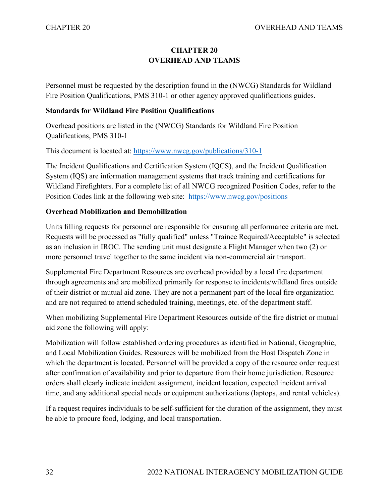## **CHAPTER 20 OVERHEAD AND TEAMS**

Personnel must be requested by the description found in the (NWCG) Standards for Wildland Fire Position Qualifications, PMS 310-1 or other agency approved qualifications guides.

#### **Standards for Wildland Fire Position Qualifications**

Overhead positions are listed in the (NWCG) Standards for Wildland Fire Position Qualifications, PMS 310-1

This document is located at:<https://www.nwcg.gov/publications/310-1>

The Incident Qualifications and Certification System (IQCS), and the Incident Qualification System (IQS) are information management systems that track training and certifications for Wildland Firefighters. For a complete list of all NWCG recognized Position Codes, refer to the Position Codes link at the following web site: <https://www.nwcg.gov/positions>

#### **Overhead Mobilization and Demobilization**

Units filling requests for personnel are responsible for ensuring all performance criteria are met. Requests will be processed as "fully qualified" unless "Trainee Required/Acceptable" is selected as an inclusion in IROC. The sending unit must designate a Flight Manager when two (2) or more personnel travel together to the same incident via non-commercial air transport.

Supplemental Fire Department Resources are overhead provided by a local fire department through agreements and are mobilized primarily for response to incidents/wildland fires outside of their district or mutual aid zone. They are not a permanent part of the local fire organization and are not required to attend scheduled training, meetings, etc. of the department staff.

When mobilizing Supplemental Fire Department Resources outside of the fire district or mutual aid zone the following will apply:

Mobilization will follow established ordering procedures as identified in National, Geographic, and Local Mobilization Guides. Resources will be mobilized from the Host Dispatch Zone in which the department is located. Personnel will be provided a copy of the resource order request after confirmation of availability and prior to departure from their home jurisdiction. Resource orders shall clearly indicate incident assignment, incident location, expected incident arrival time, and any additional special needs or equipment authorizations (laptops, and rental vehicles).

If a request requires individuals to be self-sufficient for the duration of the assignment, they must be able to procure food, lodging, and local transportation.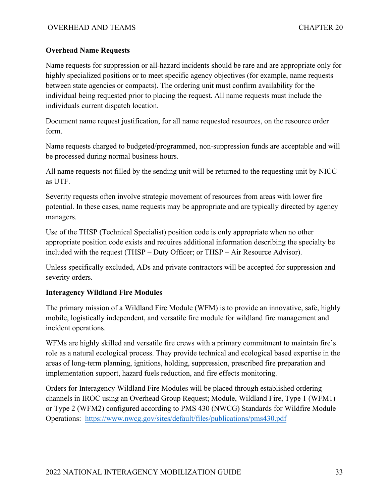## **Overhead Name Requests**

Name requests for suppression or all-hazard incidents should be rare and are appropriate only for highly specialized positions or to meet specific agency objectives (for example, name requests between state agencies or compacts). The ordering unit must confirm availability for the individual being requested prior to placing the request. All name requests must include the individuals current dispatch location.

Document name request justification, for all name requested resources, on the resource order form.

Name requests charged to budgeted/programmed, non-suppression funds are acceptable and will be processed during normal business hours.

All name requests not filled by the sending unit will be returned to the requesting unit by NICC as UTF.

Severity requests often involve strategic movement of resources from areas with lower fire potential. In these cases, name requests may be appropriate and are typically directed by agency managers.

Use of the THSP (Technical Specialist) position code is only appropriate when no other appropriate position code exists and requires additional information describing the specialty be included with the request (THSP – Duty Officer; or THSP – Air Resource Advisor).

Unless specifically excluded, ADs and private contractors will be accepted for suppression and severity orders.

## **Interagency Wildland Fire Modules**

The primary mission of a Wildland Fire Module (WFM) is to provide an innovative, safe, highly mobile, logistically independent, and versatile fire module for wildland fire management and incident operations.

WFMs are highly skilled and versatile fire crews with a primary commitment to maintain fire's role as a natural ecological process. They provide technical and ecological based expertise in the areas of long-term planning, ignitions, holding, suppression, prescribed fire preparation and implementation support, hazard fuels reduction, and fire effects monitoring.

Orders for Interagency Wildland Fire Modules will be placed through established ordering channels in IROC using an Overhead Group Request; Module, Wildland Fire, Type 1 (WFM1) or Type 2 (WFM2) configured according to PMS 430 (NWCG) Standards for Wildfire Module Operations: <https://www.nwcg.gov/sites/default/files/publications/pms430.pdf>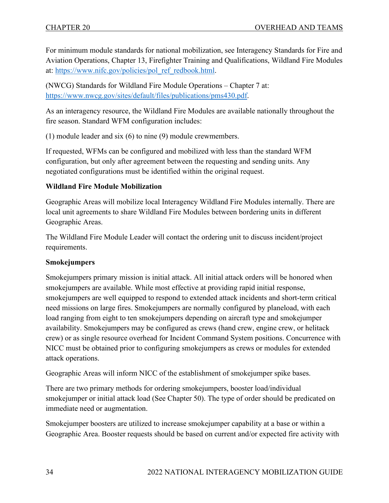For minimum module standards for national mobilization, see Interagency Standards for Fire and Aviation Operations, Chapter 13, Firefighter Training and Qualifications, Wildland Fire Modules at: [https://www.nifc.gov/policies/pol\\_ref\\_redbook.html.](https://www.nifc.gov/policies/pol_ref_redbook.html)

(NWCG) Standards for Wildland Fire Module Operations – Chapter 7 at: [https://www.nwcg.gov/sites/default/files/publications/pms430.pdf.](https://www.nwcg.gov/sites/default/files/publications/pms430.pdf)

As an interagency resource, the Wildland Fire Modules are available nationally throughout the fire season. Standard WFM configuration includes:

(1) module leader and six (6) to nine (9) module crewmembers.

If requested, WFMs can be configured and mobilized with less than the standard WFM configuration, but only after agreement between the requesting and sending units. Any negotiated configurations must be identified within the original request.

## **Wildland Fire Module Mobilization**

Geographic Areas will mobilize local Interagency Wildland Fire Modules internally. There are local unit agreements to share Wildland Fire Modules between bordering units in different Geographic Areas.

The Wildland Fire Module Leader will contact the ordering unit to discuss incident/project requirements.

## **Smokejumpers**

Smokejumpers primary mission is initial attack. All initial attack orders will be honored when smokejumpers are available. While most effective at providing rapid initial response, smokejumpers are well equipped to respond to extended attack incidents and short-term critical need missions on large fires. Smokejumpers are normally configured by planeload, with each load ranging from eight to ten smokejumpers depending on aircraft type and smokejumper availability. Smokejumpers may be configured as crews (hand crew, engine crew, or helitack crew) or as single resource overhead for Incident Command System positions. Concurrence with NICC must be obtained prior to configuring smokejumpers as crews or modules for extended attack operations.

Geographic Areas will inform NICC of the establishment of smokejumper spike bases.

There are two primary methods for ordering smokejumpers, booster load/individual smokejumper or initial attack load (See Chapter 50). The type of order should be predicated on immediate need or augmentation.

Smokejumper boosters are utilized to increase smokejumper capability at a base or within a Geographic Area. Booster requests should be based on current and/or expected fire activity with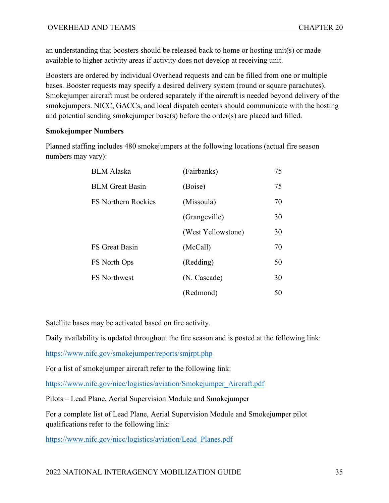an understanding that boosters should be released back to home or hosting unit(s) or made available to higher activity areas if activity does not develop at receiving unit.

Boosters are ordered by individual Overhead requests and can be filled from one or multiple bases. Booster requests may specify a desired delivery system (round or square parachutes). Smokejumper aircraft must be ordered separately if the aircraft is needed beyond delivery of the smokejumpers. NICC, GACCs, and local dispatch centers should communicate with the hosting and potential sending smokejumper base(s) before the order(s) are placed and filled.

## **Smokejumper Numbers**

Planned staffing includes 480 smokejumpers at the following locations (actual fire season numbers may vary):

| <b>BLM</b> Alaska          | (Fairbanks)        | 75 |
|----------------------------|--------------------|----|
| <b>BLM</b> Great Basin     | (Boise)            | 75 |
| <b>FS Northern Rockies</b> | (Missoula)         | 70 |
|                            | (Grangeville)      | 30 |
|                            | (West Yellowstone) | 30 |
| <b>FS</b> Great Basin      | (McCall)           | 70 |
| FS North Ops               | (Redding)          | 50 |
| <b>FS</b> Northwest        | (N. Cascade)       | 30 |
|                            | (Redmond)          | 50 |

Satellite bases may be activated based on fire activity.

Daily availability is updated throughout the fire season and is posted at the following link:

<https://www.nifc.gov/smokejumper/reports/smjrpt.php>

For a list of smokejumper aircraft refer to the following link:

[https://www.nifc.gov/nicc/logistics/aviation/Smokejumper\\_Aircraft.pdf](https://www.nifc.gov/nicc/logistics/aviation/Smokejumper_Aircraft.pdf)

Pilots – Lead Plane, Aerial Supervision Module and Smokejumper

For a complete list of Lead Plane, Aerial Supervision Module and Smokejumper pilot qualifications refer to the following link:

[https://www.nifc.gov/nicc/logistics/aviation/Lead\\_Planes.pdf](https://www.nifc.gov/nicc/logistics/aviation/Lead_Planes.pdf)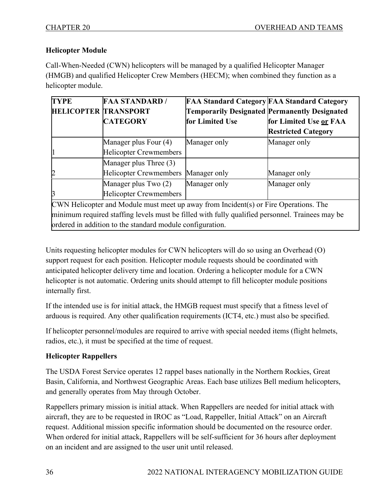## **Helicopter Module**

Call-When-Needed (CWN) helicopters will be managed by a qualified Helicopter Manager (HMGB) and qualified Helicopter Crew Members (HECM); when combined they function as a helicopter module.

| <b>TYPE</b>                                                                                     | <b>FAA STANDARD /</b>               | <b>FAA Standard Category FAA Standard Category</b>   |                            |
|-------------------------------------------------------------------------------------------------|-------------------------------------|------------------------------------------------------|----------------------------|
| <b>HELICOPTER TRANSPORT</b>                                                                     |                                     | <b>Temporarily Designated Permanently Designated</b> |                            |
|                                                                                                 | <b>CATEGORY</b>                     | for Limited Use                                      | for Limited Use or FAA     |
|                                                                                                 |                                     |                                                      | <b>Restricted Category</b> |
|                                                                                                 | Manager plus Four (4)               | Manager only                                         | Manager only               |
|                                                                                                 | Helicopter Crewmembers              |                                                      |                            |
|                                                                                                 | Manager plus Three (3)              |                                                      |                            |
|                                                                                                 | Helicopter Crewmembers Manager only |                                                      | Manager only               |
|                                                                                                 | Manager plus Two (2)                | Manager only                                         | Manager only               |
|                                                                                                 | Helicopter Crewmembers              |                                                      |                            |
| CWN Helicopter and Module must meet up away from Incident(s) or Fire Operations. The            |                                     |                                                      |                            |
| minimum required staffing levels must be filled with fully qualified personnel. Trainees may be |                                     |                                                      |                            |
| ordered in addition to the standard module configuration.                                       |                                     |                                                      |                            |

Units requesting helicopter modules for CWN helicopters will do so using an Overhead (O) support request for each position. Helicopter module requests should be coordinated with anticipated helicopter delivery time and location. Ordering a helicopter module for a CWN helicopter is not automatic. Ordering units should attempt to fill helicopter module positions internally first.

If the intended use is for initial attack, the HMGB request must specify that a fitness level of arduous is required. Any other qualification requirements (ICT4, etc.) must also be specified.

If helicopter personnel/modules are required to arrive with special needed items (flight helmets, radios, etc.), it must be specified at the time of request.

## **Helicopter Rappellers**

The USDA Forest Service operates 12 rappel bases nationally in the Northern Rockies, Great Basin, California, and Northwest Geographic Areas. Each base utilizes Bell medium helicopters, and generally operates from May through October.

Rappellers primary mission is initial attack. When Rappellers are needed for initial attack with aircraft, they are to be requested in IROC as "Load, Rappeller, Initial Attack" on an Aircraft request. Additional mission specific information should be documented on the resource order. When ordered for initial attack, Rappellers will be self-sufficient for 36 hours after deployment on an incident and are assigned to the user unit until released.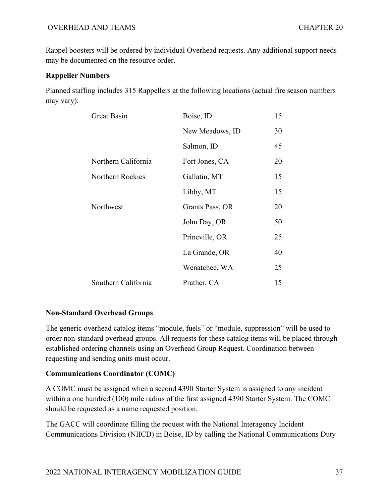Rappel boosters will be ordered by individual Overhead requests. Any additional support needs may be documented on the resource order.

## **Rappeller Numbers**

Planned staffing includes 315 Rappellers at the following locations (actual fire season numbers may vary):

| <b>Great Basin</b>  | Boise, ID       | 15 |
|---------------------|-----------------|----|
|                     | New Meadows, ID | 30 |
|                     | Salmon, ID      | 45 |
| Northern California | Fort Jones, CA  | 20 |
| Northern Rockies    | Gallatin, MT    | 15 |
|                     | Libby, MT       | 15 |
| Northwest           | Grants Pass, OR | 20 |
|                     | John Day, OR    | 50 |
|                     | Prineville, OR  | 25 |
|                     | La Grande, OR   | 40 |
|                     | Wenatchee, WA   | 25 |
| Southern California | Prather, CA     | 15 |

## **Non-Standard Overhead Groups**

The generic overhead catalog items "module, fuels" or "module, suppression" will be used to order non-standard overhead groups. All requests for these catalog items will be placed through established ordering channels using an Overhead Group Request. Coordination between requesting and sending units must occur.

## **Communications Coordinator (COMC)**

A COMC must be assigned when a second 4390 Starter System is assigned to any incident within a one hundred (100) mile radius of the first assigned 4390 Starter System. The COMC should be requested as a name requested position.

The GACC will coordinate filling the request with the National Interagency Incident Communications Division (NIICD) in Boise, ID by calling the National Communications Duty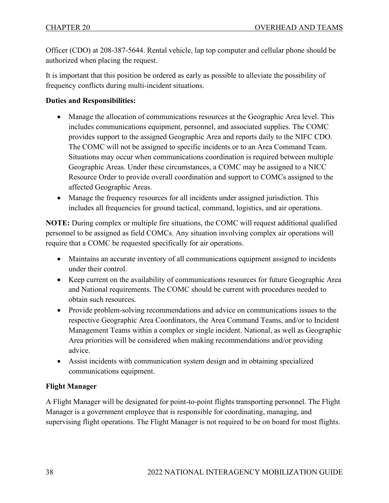Officer (CDO) at 208-387-5644. Rental vehicle, lap top computer and cellular phone should be authorized when placing the request.

It is important that this position be ordered as early as possible to alleviate the possibility of frequency conflicts during multi-incident situations.

#### **Duties and Responsibilities:**

- Manage the allocation of communications resources at the Geographic Area level. This includes communications equipment, personnel, and associated supplies. The COMC provides support to the assigned Geographic Area and reports daily to the NIFC CDO. The COMC will not be assigned to specific incidents or to an Area Command Team. Situations may occur when communications coordination is required between multiple Geographic Areas. Under these circumstances, a COMC may be assigned to a NICC Resource Order to provide overall coordination and support to COMCs assigned to the affected Geographic Areas.
- Manage the frequency resources for all incidents under assigned jurisdiction. This includes all frequencies for ground tactical, command, logistics, and air operations.

**NOTE:** During complex or multiple fire situations, the COMC will request additional qualified personnel to be assigned as field COMCs. Any situation involving complex air operations will require that a COMC be requested specifically for air operations.

- Maintains an accurate inventory of all communications equipment assigned to incidents under their control.
- Keep current on the availability of communications resources for future Geographic Area and National requirements. The COMC should be current with procedures needed to obtain such resources.
- Provide problem-solving recommendations and advice on communications issues to the respective Geographic Area Coordinators, the Area Command Teams, and/or to Incident Management Teams within a complex or single incident. National, as well as Geographic Area priorities will be considered when making recommendations and/or providing advice.
- Assist incidents with communication system design and in obtaining specialized communications equipment.

## **Flight Manager**

A Flight Manager will be designated for point-to-point flights transporting personnel. The Flight Manager is a government employee that is responsible for coordinating, managing, and supervising flight operations. The Flight Manager is not required to be on board for most flights.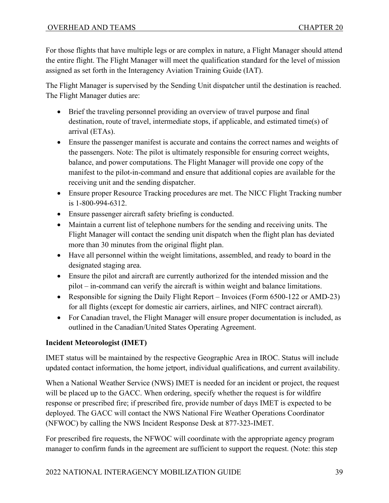For those flights that have multiple legs or are complex in nature, a Flight Manager should attend the entire flight. The Flight Manager will meet the qualification standard for the level of mission assigned as set forth in the Interagency Aviation Training Guide (IAT).

The Flight Manager is supervised by the Sending Unit dispatcher until the destination is reached. The Flight Manager duties are:

- Brief the traveling personnel providing an overview of travel purpose and final destination, route of travel, intermediate stops, if applicable, and estimated time(s) of arrival (ETAs).
- Ensure the passenger manifest is accurate and contains the correct names and weights of the passengers. Note: The pilot is ultimately responsible for ensuring correct weights, balance, and power computations. The Flight Manager will provide one copy of the manifest to the pilot-in-command and ensure that additional copies are available for the receiving unit and the sending dispatcher.
- Ensure proper Resource Tracking procedures are met. The NICC Flight Tracking number is 1-800-994-6312.
- Ensure passenger aircraft safety briefing is conducted.
- Maintain a current list of telephone numbers for the sending and receiving units. The Flight Manager will contact the sending unit dispatch when the flight plan has deviated more than 30 minutes from the original flight plan.
- Have all personnel within the weight limitations, assembled, and ready to board in the designated staging area.
- Ensure the pilot and aircraft are currently authorized for the intended mission and the pilot – in-command can verify the aircraft is within weight and balance limitations.
- Responsible for signing the Daily Flight Report Invoices (Form 6500-122 or AMD-23) for all flights (except for domestic air carriers, airlines, and NIFC contract aircraft).
- For Canadian travel, the Flight Manager will ensure proper documentation is included, as outlined in the Canadian/United States Operating Agreement.

## **Incident Meteorologist (IMET)**

IMET status will be maintained by the respective Geographic Area in IROC. Status will include updated contact information, the home jetport, individual qualifications, and current availability.

When a National Weather Service (NWS) IMET is needed for an incident or project, the request will be placed up to the GACC. When ordering, specify whether the request is for wildfire response or prescribed fire; if prescribed fire, provide number of days IMET is expected to be deployed. The GACC will contact the NWS National Fire Weather Operations Coordinator (NFWOC) by calling the NWS Incident Response Desk at 877-323-IMET.

For prescribed fire requests, the NFWOC will coordinate with the appropriate agency program manager to confirm funds in the agreement are sufficient to support the request. (Note: this step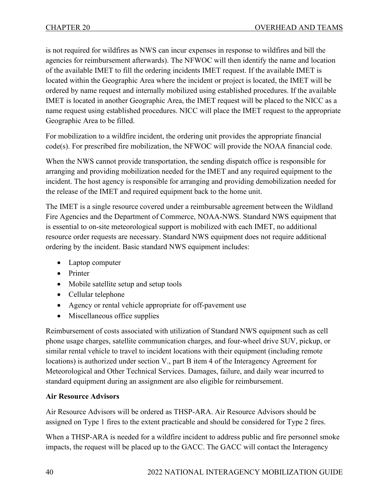is not required for wildfires as NWS can incur expenses in response to wildfires and bill the agencies for reimbursement afterwards). The NFWOC will then identify the name and location of the available IMET to fill the ordering incidents IMET request. If the available IMET is located within the Geographic Area where the incident or project is located, the IMET will be ordered by name request and internally mobilized using established procedures. If the available IMET is located in another Geographic Area, the IMET request will be placed to the NICC as a name request using established procedures. NICC will place the IMET request to the appropriate Geographic Area to be filled.

For mobilization to a wildfire incident, the ordering unit provides the appropriate financial code(s). For prescribed fire mobilization, the NFWOC will provide the NOAA financial code.

When the NWS cannot provide transportation, the sending dispatch office is responsible for arranging and providing mobilization needed for the IMET and any required equipment to the incident. The host agency is responsible for arranging and providing demobilization needed for the release of the IMET and required equipment back to the home unit.

The IMET is a single resource covered under a reimbursable agreement between the Wildland Fire Agencies and the Department of Commerce, NOAA-NWS. Standard NWS equipment that is essential to on-site meteorological support is mobilized with each IMET, no additional resource order requests are necessary. Standard NWS equipment does not require additional ordering by the incident. Basic standard NWS equipment includes:

- Laptop computer
- Printer
- Mobile satellite setup and setup tools
- Cellular telephone
- Agency or rental vehicle appropriate for off-pavement use
- Miscellaneous office supplies

Reimbursement of costs associated with utilization of Standard NWS equipment such as cell phone usage charges, satellite communication charges, and four-wheel drive SUV, pickup, or similar rental vehicle to travel to incident locations with their equipment (including remote locations) is authorized under section V., part B item 4 of the Interagency Agreement for Meteorological and Other Technical Services. Damages, failure, and daily wear incurred to standard equipment during an assignment are also eligible for reimbursement.

## **Air Resource Advisors**

Air Resource Advisors will be ordered as THSP-ARA. Air Resource Advisors should be assigned on Type 1 fires to the extent practicable and should be considered for Type 2 fires.

When a THSP-ARA is needed for a wildfire incident to address public and fire personnel smoke impacts, the request will be placed up to the GACC. The GACC will contact the Interagency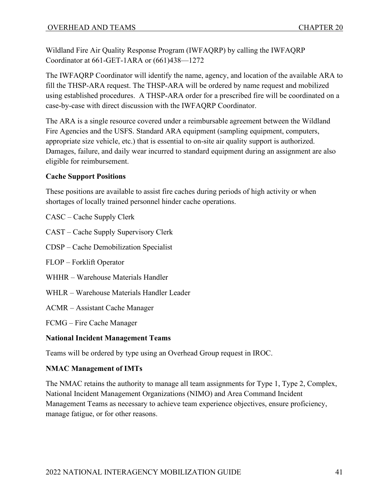Wildland Fire Air Quality Response Program (IWFAQRP) by calling the IWFAQRP Coordinator at 661-GET-1ARA or (661)438—1272

The IWFAQRP Coordinator will identify the name, agency, and location of the available ARA to fill the THSP-ARA request. The THSP-ARA will be ordered by name request and mobilized using established procedures. A THSP-ARA order for a prescribed fire will be coordinated on a case-by-case with direct discussion with the IWFAQRP Coordinator.

The ARA is a single resource covered under a reimbursable agreement between the Wildland Fire Agencies and the USFS. Standard ARA equipment (sampling equipment, computers, appropriate size vehicle, etc.) that is essential to on-site air quality support is authorized. Damages, failure, and daily wear incurred to standard equipment during an assignment are also eligible for reimbursement.

## **Cache Support Positions**

These positions are available to assist fire caches during periods of high activity or when shortages of locally trained personnel hinder cache operations.

CASC – Cache Supply Clerk

CAST – Cache Supply Supervisory Clerk

CDSP – Cache Demobilization Specialist

FLOP – Forklift Operator

WHHR – Warehouse Materials Handler

WHLR – Warehouse Materials Handler Leader

ACMR – Assistant Cache Manager

FCMG – Fire Cache Manager

#### **National Incident Management Teams**

Teams will be ordered by type using an Overhead Group request in IROC.

## **NMAC Management of IMTs**

The NMAC retains the authority to manage all team assignments for Type 1, Type 2, Complex, National Incident Management Organizations (NIMO) and Area Command Incident Management Teams as necessary to achieve team experience objectives, ensure proficiency, manage fatigue, or for other reasons.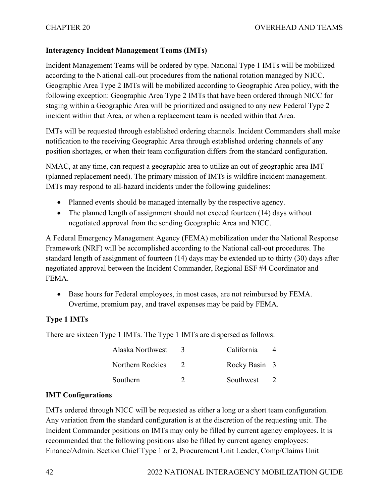## **Interagency Incident Management Teams (IMTs)**

Incident Management Teams will be ordered by type. National Type 1 IMTs will be mobilized according to the National call-out procedures from the national rotation managed by NICC. Geographic Area Type 2 IMTs will be mobilized according to Geographic Area policy, with the following exception: Geographic Area Type 2 IMTs that have been ordered through NICC for staging within a Geographic Area will be prioritized and assigned to any new Federal Type 2 incident within that Area, or when a replacement team is needed within that Area.

IMTs will be requested through established ordering channels. Incident Commanders shall make notification to the receiving Geographic Area through established ordering channels of any position shortages, or when their team configuration differs from the standard configuration.

NMAC, at any time, can request a geographic area to utilize an out of geographic area IMT (planned replacement need). The primary mission of IMTs is wildfire incident management. IMTs may respond to all-hazard incidents under the following guidelines:

- Planned events should be managed internally by the respective agency.
- The planned length of assignment should not exceed fourteen (14) days without negotiated approval from the sending Geographic Area and NICC.

A Federal Emergency Management Agency (FEMA) mobilization under the National Response Framework (NRF) will be accomplished according to the National call-out procedures. The standard length of assignment of fourteen (14) days may be extended up to thirty (30) days after negotiated approval between the Incident Commander, Regional ESF #4 Coordinator and FEMA.

• Base hours for Federal employees, in most cases, are not reimbursed by FEMA. Overtime, premium pay, and travel expenses may be paid by FEMA.

## **Type 1 IMTs**

There are sixteen Type 1 IMTs. The Type 1 IMTs are dispersed as follows:

| Alaska Northwest | California    | 4              |
|------------------|---------------|----------------|
| Northern Rockies | Rocky Basin 3 |                |
| Southern         | Southwest     | $\overline{2}$ |

#### **IMT Configurations**

IMTs ordered through NICC will be requested as either a long or a short team configuration. Any variation from the standard configuration is at the discretion of the requesting unit. The Incident Commander positions on IMTs may only be filled by current agency employees. It is recommended that the following positions also be filled by current agency employees: Finance/Admin. Section Chief Type 1 or 2, Procurement Unit Leader, Comp/Claims Unit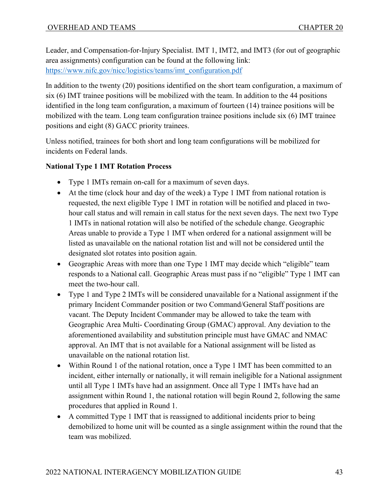Leader, and Compensation-for-Injury Specialist. IMT 1, IMT2, and IMT3 (for out of geographic area assignments) configuration can be found at the following link: [https://www.nifc.gov/nicc/logistics/teams/imt\\_configuration.pdf](https://www.nifc.gov/nicc/logistics/teams/imt_configuration.pdf)

In addition to the twenty (20) positions identified on the short team configuration, a maximum of six (6) IMT trainee positions will be mobilized with the team. In addition to the 44 positions identified in the long team configuration, a maximum of fourteen (14) trainee positions will be mobilized with the team. Long team configuration trainee positions include six (6) IMT trainee positions and eight (8) GACC priority trainees.

Unless notified, trainees for both short and long team configurations will be mobilized for incidents on Federal lands.

## **National Type 1 IMT Rotation Process**

- Type 1 IMTs remain on-call for a maximum of seven days.
- At the time (clock hour and day of the week) a Type 1 IMT from national rotation is requested, the next eligible Type 1 IMT in rotation will be notified and placed in twohour call status and will remain in call status for the next seven days. The next two Type 1 IMTs in national rotation will also be notified of the schedule change. Geographic Areas unable to provide a Type 1 IMT when ordered for a national assignment will be listed as unavailable on the national rotation list and will not be considered until the designated slot rotates into position again.
- Geographic Areas with more than one Type 1 IMT may decide which "eligible" team responds to a National call. Geographic Areas must pass if no "eligible" Type 1 IMT can meet the two-hour call.
- Type 1 and Type 2 IMTs will be considered unavailable for a National assignment if the primary Incident Commander position or two Command/General Staff positions are vacant. The Deputy Incident Commander may be allowed to take the team with Geographic Area Multi- Coordinating Group (GMAC) approval. Any deviation to the aforementioned availability and substitution principle must have GMAC and NMAC approval. An IMT that is not available for a National assignment will be listed as unavailable on the national rotation list.
- Within Round 1 of the national rotation, once a Type 1 IMT has been committed to an incident, either internally or nationally, it will remain ineligible for a National assignment until all Type 1 IMTs have had an assignment. Once all Type 1 IMTs have had an assignment within Round 1, the national rotation will begin Round 2, following the same procedures that applied in Round 1.
- A committed Type 1 IMT that is reassigned to additional incidents prior to being demobilized to home unit will be counted as a single assignment within the round that the team was mobilized.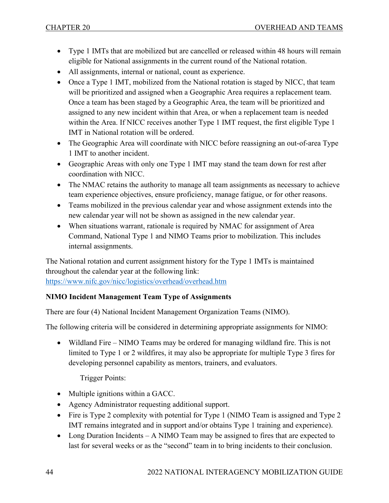- Type 1 IMTs that are mobilized but are cancelled or released within 48 hours will remain eligible for National assignments in the current round of the National rotation.
- All assignments, internal or national, count as experience.
- Once a Type 1 IMT, mobilized from the National rotation is staged by NICC, that team will be prioritized and assigned when a Geographic Area requires a replacement team. Once a team has been staged by a Geographic Area, the team will be prioritized and assigned to any new incident within that Area, or when a replacement team is needed within the Area. If NICC receives another Type 1 IMT request, the first eligible Type 1 IMT in National rotation will be ordered.
- The Geographic Area will coordinate with NICC before reassigning an out-of-area Type 1 IMT to another incident.
- Geographic Areas with only one Type 1 IMT may stand the team down for rest after coordination with NICC.
- The NMAC retains the authority to manage all team assignments as necessary to achieve team experience objectives, ensure proficiency, manage fatigue, or for other reasons.
- Teams mobilized in the previous calendar year and whose assignment extends into the new calendar year will not be shown as assigned in the new calendar year.
- When situations warrant, rationale is required by NMAC for assignment of Area Command, National Type 1 and NIMO Teams prior to mobilization. This includes internal assignments.

The National rotation and current assignment history for the Type 1 IMTs is maintained throughout the calendar year at the following link:

<https://www.nifc.gov/nicc/logistics/overhead/overhead.htm>

## **NIMO Incident Management Team Type of Assignments**

There are four (4) National Incident Management Organization Teams (NIMO).

The following criteria will be considered in determining appropriate assignments for NIMO:

• Wildland Fire – NIMO Teams may be ordered for managing wildland fire. This is not limited to Type 1 or 2 wildfires, it may also be appropriate for multiple Type 3 fires for developing personnel capability as mentors, trainers, and evaluators.

Trigger Points:

- Multiple ignitions within a GACC.
- Agency Administrator requesting additional support.
- Fire is Type 2 complexity with potential for Type 1 (NIMO Team is assigned and Type 2 IMT remains integrated and in support and/or obtains Type 1 training and experience).
- Long Duration Incidents A NIMO Team may be assigned to fires that are expected to last for several weeks or as the "second" team in to bring incidents to their conclusion.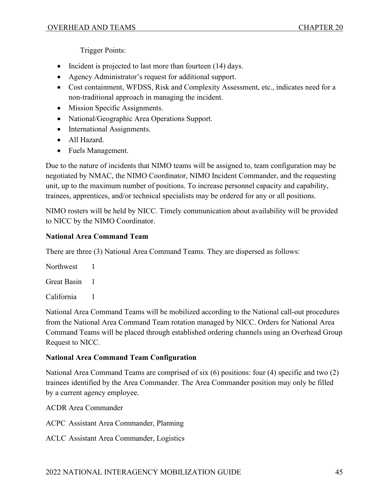Trigger Points:

- Incident is projected to last more than fourteen (14) days.
- Agency Administrator's request for additional support.
- Cost containment, WFDSS, Risk and Complexity Assessment, etc., indicates need for a non-traditional approach in managing the incident.
- Mission Specific Assignments.
- National/Geographic Area Operations Support.
- International Assignments.
- All Hazard.
- Fuels Management.

Due to the nature of incidents that NIMO teams will be assigned to, team configuration may be negotiated by NMAC, the NIMO Coordinator, NIMO Incident Commander, and the requesting unit, up to the maximum number of positions. To increase personnel capacity and capability, trainees, apprentices, and/or technical specialists may be ordered for any or all positions.

NIMO rosters will be held by NICC. Timely communication about availability will be provided to NICC by the NIMO Coordinator.

## **National Area Command Team**

There are three (3) National Area Command Teams. They are dispersed as follows:

Northwest 1

Great Basin 1

California 1

National Area Command Teams will be mobilized according to the National call-out procedures from the National Area Command Team rotation managed by NICC. Orders for National Area Command Teams will be placed through established ordering channels using an Overhead Group Request to NICC.

## **National Area Command Team Configuration**

National Area Command Teams are comprised of six (6) positions: four (4) specific and two (2) trainees identified by the Area Commander. The Area Commander position may only be filled by a current agency employee.

ACDR Area Commander

ACPC Assistant Area Commander, Planning

ACLC Assistant Area Commander, Logistics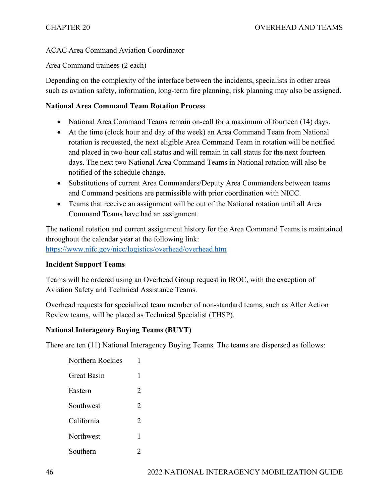ACAC Area Command Aviation Coordinator

Area Command trainees (2 each)

Depending on the complexity of the interface between the incidents, specialists in other areas such as aviation safety, information, long-term fire planning, risk planning may also be assigned.

#### **National Area Command Team Rotation Process**

- National Area Command Teams remain on-call for a maximum of fourteen (14) days.
- At the time (clock hour and day of the week) an Area Command Team from National rotation is requested, the next eligible Area Command Team in rotation will be notified and placed in two-hour call status and will remain in call status for the next fourteen days. The next two National Area Command Teams in National rotation will also be notified of the schedule change.
- Substitutions of current Area Commanders/Deputy Area Commanders between teams and Command positions are permissible with prior coordination with NICC.
- Teams that receive an assignment will be out of the National rotation until all Area Command Teams have had an assignment.

The national rotation and current assignment history for the Area Command Teams is maintained throughout the calendar year at the following link: <https://www.nifc.gov/nicc/logistics/overhead/overhead.htm>

## **Incident Support Teams**

Teams will be ordered using an Overhead Group request in IROC, with the exception of Aviation Safety and Technical Assistance Teams.

Overhead requests for specialized team member of non-standard teams, such as After Action Review teams, will be placed as Technical Specialist (THSP).

## **National Interagency Buying Teams (BUYT)**

There are ten (11) National Interagency Buying Teams. The teams are dispersed as follows:

| 1                             |
|-------------------------------|
| 1                             |
| $\overline{c}$                |
| $\mathcal{D}_{\mathcal{L}}$   |
| $\mathfrak{D}_{\mathfrak{p}}$ |
| 1                             |
|                               |
|                               |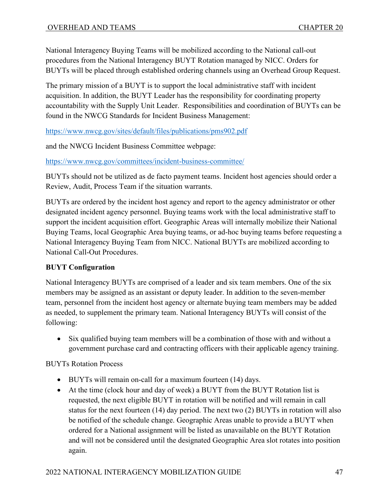National Interagency Buying Teams will be mobilized according to the National call-out procedures from the National Interagency BUYT Rotation managed by NICC. Orders for BUYTs will be placed through established ordering channels using an Overhead Group Request.

The primary mission of a BUYT is to support the local administrative staff with incident acquisition. In addition, the BUYT Leader has the responsibility for coordinating property accountability with the Supply Unit Leader. Responsibilities and coordination of BUYTs can be found in the NWCG Standards for Incident Business Management:

<https://www.nwcg.gov/sites/default/files/publications/pms902.pdf>

and the NWCG Incident Business Committee webpage:

<https://www.nwcg.gov/committees/incident-business-committee/>

BUYTs should not be utilized as de facto payment teams. Incident host agencies should order a Review, Audit, Process Team if the situation warrants.

BUYTs are ordered by the incident host agency and report to the agency administrator or other designated incident agency personnel. Buying teams work with the local administrative staff to support the incident acquisition effort. Geographic Areas will internally mobilize their National Buying Teams, local Geographic Area buying teams, or ad-hoc buying teams before requesting a National Interagency Buying Team from NICC. National BUYTs are mobilized according to National Call-Out Procedures.

## **BUYT Configuration**

National Interagency BUYTs are comprised of a leader and six team members. One of the six members may be assigned as an assistant or deputy leader. In addition to the seven-member team, personnel from the incident host agency or alternate buying team members may be added as needed, to supplement the primary team. National Interagency BUYTs will consist of the following:

• Six qualified buying team members will be a combination of those with and without a government purchase card and contracting officers with their applicable agency training.

BUYTs Rotation Process

- BUYTs will remain on-call for a maximum fourteen (14) days.
- At the time (clock hour and day of week) a BUYT from the BUYT Rotation list is requested, the next eligible BUYT in rotation will be notified and will remain in call status for the next fourteen (14) day period. The next two (2) BUYTs in rotation will also be notified of the schedule change. Geographic Areas unable to provide a BUYT when ordered for a National assignment will be listed as unavailable on the BUYT Rotation and will not be considered until the designated Geographic Area slot rotates into position again.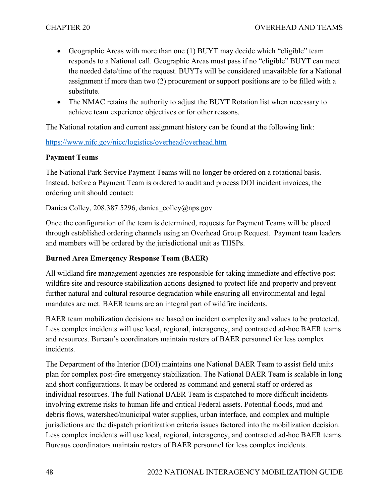- Geographic Areas with more than one (1) BUYT may decide which "eligible" team responds to a National call. Geographic Areas must pass if no "eligible" BUYT can meet the needed date/time of the request. BUYTs will be considered unavailable for a National assignment if more than two (2) procurement or support positions are to be filled with a substitute.
- The NMAC retains the authority to adjust the BUYT Rotation list when necessary to achieve team experience objectives or for other reasons.

The National rotation and current assignment history can be found at the following link:

#### <https://www.nifc.gov/nicc/logistics/overhead/overhead.htm>

#### **Payment Teams**

The National Park Service Payment Teams will no longer be ordered on a rotational basis. Instead, before a Payment Team is ordered to audit and process DOI incident invoices, the ordering unit should contact:

Danica Colley, 208.387.5296, danica colley@nps.gov

Once the configuration of the team is determined, requests for Payment Teams will be placed through established ordering channels using an Overhead Group Request. Payment team leaders and members will be ordered by the jurisdictional unit as THSPs.

## **Burned Area Emergency Response Team (BAER)**

All wildland fire management agencies are responsible for taking immediate and effective post wildfire site and resource stabilization actions designed to protect life and property and prevent further natural and cultural resource degradation while ensuring all environmental and legal mandates are met. BAER teams are an integral part of wildfire incidents.

BAER team mobilization decisions are based on incident complexity and values to be protected. Less complex incidents will use local, regional, interagency, and contracted ad-hoc BAER teams and resources. Bureau's coordinators maintain rosters of BAER personnel for less complex incidents.

The Department of the Interior (DOI) maintains one National BAER Team to assist field units plan for complex post-fire emergency stabilization. The National BAER Team is scalable in long and short configurations. It may be ordered as command and general staff or ordered as individual resources. The full National BAER Team is dispatched to more difficult incidents involving extreme risks to human life and critical Federal assets. Potential floods, mud and debris flows, watershed/municipal water supplies, urban interface, and complex and multiple jurisdictions are the dispatch prioritization criteria issues factored into the mobilization decision. Less complex incidents will use local, regional, interagency, and contracted ad-hoc BAER teams. Bureaus coordinators maintain rosters of BAER personnel for less complex incidents.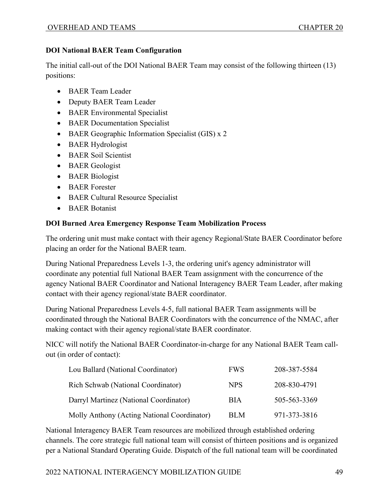## **DOI National BAER Team Configuration**

The initial call-out of the DOI National BAER Team may consist of the following thirteen (13) positions:

- BAER Team Leader
- Deputy BAER Team Leader
- BAER Environmental Specialist
- BAER Documentation Specialist
- BAER Geographic Information Specialist (GIS) x 2
- BAER Hydrologist
- BAER Soil Scientist
- BAER Geologist
- BAER Biologist
- BAER Forester
- BAER Cultural Resource Specialist
- BAER Botanist

## **DOI Burned Area Emergency Response Team Mobilization Process**

The ordering unit must make contact with their agency Regional/State BAER Coordinator before placing an order for the National BAER team.

During National Preparedness Levels 1-3, the ordering unit's agency administrator will coordinate any potential full National BAER Team assignment with the concurrence of the agency National BAER Coordinator and National Interagency BAER Team Leader, after making contact with their agency regional/state BAER coordinator.

During National Preparedness Levels 4-5, full national BAER Team assignments will be coordinated through the National BAER Coordinators with the concurrence of the NMAC, after making contact with their agency regional/state BAER coordinator.

NICC will notify the National BAER Coordinator-in-charge for any National BAER Team callout (in order of contact):

| Lou Ballard (National Coordinator)          | <b>FWS</b> | 208-387-5584 |
|---------------------------------------------|------------|--------------|
| Rich Schwab (National Coordinator)          | <b>NPS</b> | 208-830-4791 |
| Darryl Martinez (National Coordinator)      | <b>BIA</b> | 505-563-3369 |
| Molly Anthony (Acting National Coordinator) | <b>BLM</b> | 971-373-3816 |

National Interagency BAER Team resources are mobilized through established ordering channels. The core strategic full national team will consist of thirteen positions and is organized per a National Standard Operating Guide. Dispatch of the full national team will be coordinated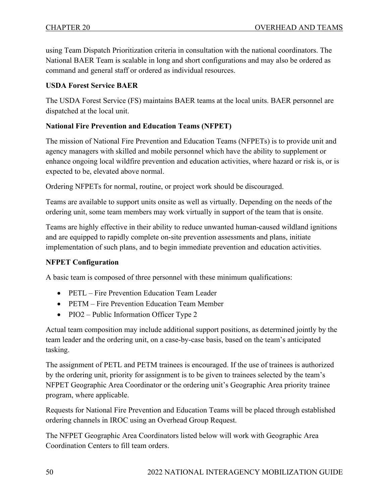using Team Dispatch Prioritization criteria in consultation with the national coordinators. The National BAER Team is scalable in long and short configurations and may also be ordered as command and general staff or ordered as individual resources.

## **USDA Forest Service BAER**

The USDA Forest Service (FS) maintains BAER teams at the local units. BAER personnel are dispatched at the local unit.

## **National Fire Prevention and Education Teams (NFPET)**

The mission of National Fire Prevention and Education Teams (NFPETs) is to provide unit and agency managers with skilled and mobile personnel which have the ability to supplement or enhance ongoing local wildfire prevention and education activities, where hazard or risk is, or is expected to be, elevated above normal.

Ordering NFPETs for normal, routine, or project work should be discouraged.

Teams are available to support units onsite as well as virtually. Depending on the needs of the ordering unit, some team members may work virtually in support of the team that is onsite.

Teams are highly effective in their ability to reduce unwanted human-caused wildland ignitions and are equipped to rapidly complete on-site prevention assessments and plans, initiate implementation of such plans, and to begin immediate prevention and education activities.

## **NFPET Configuration**

A basic team is composed of three personnel with these minimum qualifications:

- PETL Fire Prevention Education Team Leader
- PETM Fire Prevention Education Team Member
- PIO2 Public Information Officer Type 2

Actual team composition may include additional support positions, as determined jointly by the team leader and the ordering unit, on a case-by-case basis, based on the team's anticipated tasking.

The assignment of PETL and PETM trainees is encouraged. If the use of trainees is authorized by the ordering unit, priority for assignment is to be given to trainees selected by the team's NFPET Geographic Area Coordinator or the ordering unit's Geographic Area priority trainee program, where applicable.

Requests for National Fire Prevention and Education Teams will be placed through established ordering channels in IROC using an Overhead Group Request.

The NFPET Geographic Area Coordinators listed below will work with Geographic Area Coordination Centers to fill team orders.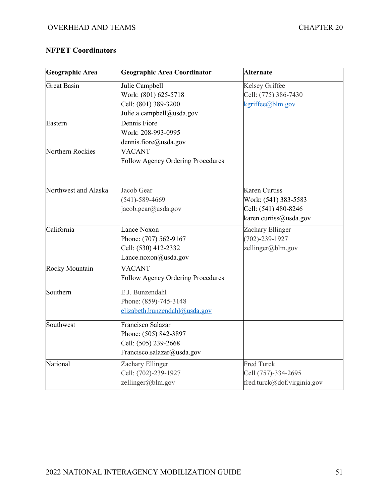# **NFPET Coordinators**

| Geographic Area      | <b>Geographic Area Coordinator</b>       | <b>Alternate</b>            |
|----------------------|------------------------------------------|-----------------------------|
| <b>Great Basin</b>   | Julie Campbell                           | Kelsey Griffee              |
|                      | Work: (801) 625-5718                     | Cell: (775) 386-7430        |
|                      | Cell: (801) 389-3200                     | kgriffee@blm.gov            |
|                      | Julie.a.campbell@usda.gov                |                             |
| Eastern              | Dennis Fiore                             |                             |
|                      | Work: 208-993-0995                       |                             |
|                      | dennis.fiore@usda.gov                    |                             |
| Northern Rockies     | <b>VACANT</b>                            |                             |
|                      | <b>Follow Agency Ordering Procedures</b> |                             |
| Northwest and Alaska | Jacob Gear                               | Karen Curtiss               |
|                      | $(541) - 589 - 4669$                     | Work: (541) 383-5583        |
|                      | jacob.gear@usda.gov                      | Cell: (541) 480-8246        |
|                      |                                          | karen.curtiss@usda.gov      |
| California           | Lance Noxon                              | Zachary Ellinger            |
|                      | Phone: (707) 562-9167                    | $(702) - 239 - 1927$        |
|                      | Cell: (530) 412-2332                     | zellinger@blm.gov           |
|                      | Lance.noxon@usda.gov                     |                             |
| Rocky Mountain       | <b>VACANT</b>                            |                             |
|                      | <b>Follow Agency Ordering Procedures</b> |                             |
| Southern             | E.J. Bunzendahl                          |                             |
|                      | Phone: (859)-745-3148                    |                             |
|                      | elizabeth.bunzendahl@usda.gov            |                             |
| Southwest            | Francisco Salazar                        |                             |
|                      | Phone: (505) 842-3897                    |                             |
|                      | Cell: (505) 239-2668                     |                             |
|                      | Francisco.salazar@usda.gov               |                             |
| National             | Zachary Ellinger                         | <b>Fred Turck</b>           |
|                      | Cell: (702)-239-1927                     | Cell (757)-334-2695         |
|                      | zellinger@blm.gov                        | fred.turck@dof.virginia.gov |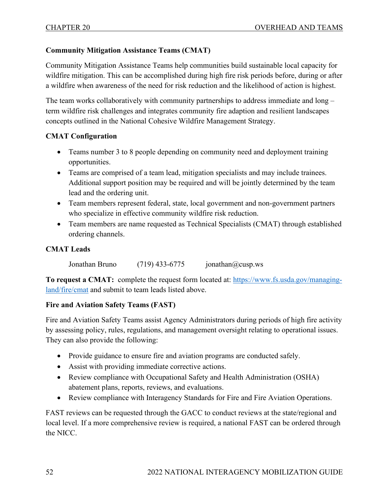## **Community Mitigation Assistance Teams (CMAT)**

Community Mitigation Assistance Teams help communities build sustainable local capacity for wildfire mitigation. This can be accomplished during high fire risk periods before, during or after a wildfire when awareness of the need for risk reduction and the likelihood of action is highest.

The team works collaboratively with community partnerships to address immediate and long – term wildfire risk challenges and integrates community fire adaption and resilient landscapes concepts outlined in the National Cohesive Wildfire Management Strategy.

## **CMAT Configuration**

- Teams number 3 to 8 people depending on community need and deployment training opportunities.
- Teams are comprised of a team lead, mitigation specialists and may include trainees. Additional support position may be required and will be jointly determined by the team lead and the ordering unit.
- Team members represent federal, state, local government and non-government partners who specialize in effective community wildfire risk reduction.
- Team members are name requested as Technical Specialists (CMAT) through established ordering channels.

#### **CMAT Leads**

Jonathan Bruno  $(719)$  433-6775 ionathan  $@cusp.ws$ 

**To request a CMAT:** complete the request form located at: [https://www.fs.usda.gov/managing](https://www.fs.usda.gov/managing-land/fire/cmat)[land/fire/cmat](https://www.fs.usda.gov/managing-land/fire/cmat) and submit to team leads listed above.

## **Fire and Aviation Safety Teams (FAST)**

Fire and Aviation Safety Teams assist Agency Administrators during periods of high fire activity by assessing policy, rules, regulations, and management oversight relating to operational issues. They can also provide the following:

- Provide guidance to ensure fire and aviation programs are conducted safely.
- Assist with providing immediate corrective actions.
- Review compliance with Occupational Safety and Health Administration (OSHA) abatement plans, reports, reviews, and evaluations.
- Review compliance with Interagency Standards for Fire and Fire Aviation Operations.

FAST reviews can be requested through the GACC to conduct reviews at the state/regional and local level. If a more comprehensive review is required, a national FAST can be ordered through the NICC.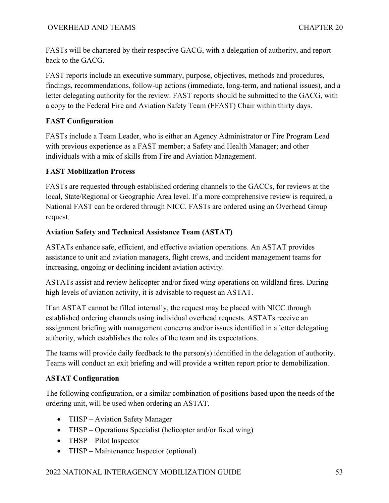FASTs will be chartered by their respective GACG, with a delegation of authority, and report back to the GACG.

FAST reports include an executive summary, purpose, objectives, methods and procedures, findings, recommendations, follow-up actions (immediate, long-term, and national issues), and a letter delegating authority for the review. FAST reports should be submitted to the GACG, with a copy to the Federal Fire and Aviation Safety Team (FFAST) Chair within thirty days.

# **FAST Configuration**

FASTs include a Team Leader, who is either an Agency Administrator or Fire Program Lead with previous experience as a FAST member; a Safety and Health Manager; and other individuals with a mix of skills from Fire and Aviation Management.

## **FAST Mobilization Process**

FASTs are requested through established ordering channels to the GACCs, for reviews at the local, State/Regional or Geographic Area level. If a more comprehensive review is required, a National FAST can be ordered through NICC. FASTs are ordered using an Overhead Group request.

# **Aviation Safety and Technical Assistance Team (ASTAT)**

ASTATs enhance safe, efficient, and effective aviation operations. An ASTAT provides assistance to unit and aviation managers, flight crews, and incident management teams for increasing, ongoing or declining incident aviation activity.

ASTATs assist and review helicopter and/or fixed wing operations on wildland fires. During high levels of aviation activity, it is advisable to request an ASTAT.

If an ASTAT cannot be filled internally, the request may be placed with NICC through established ordering channels using individual overhead requests. ASTATs receive an assignment briefing with management concerns and/or issues identified in a letter delegating authority, which establishes the roles of the team and its expectations.

The teams will provide daily feedback to the person(s) identified in the delegation of authority. Teams will conduct an exit briefing and will provide a written report prior to demobilization.

# **ASTAT Configuration**

The following configuration, or a similar combination of positions based upon the needs of the ordering unit, will be used when ordering an ASTAT.

- THSP Aviation Safety Manager
- THSP Operations Specialist (helicopter and/or fixed wing)
- THSP Pilot Inspector
- THSP Maintenance Inspector (optional)